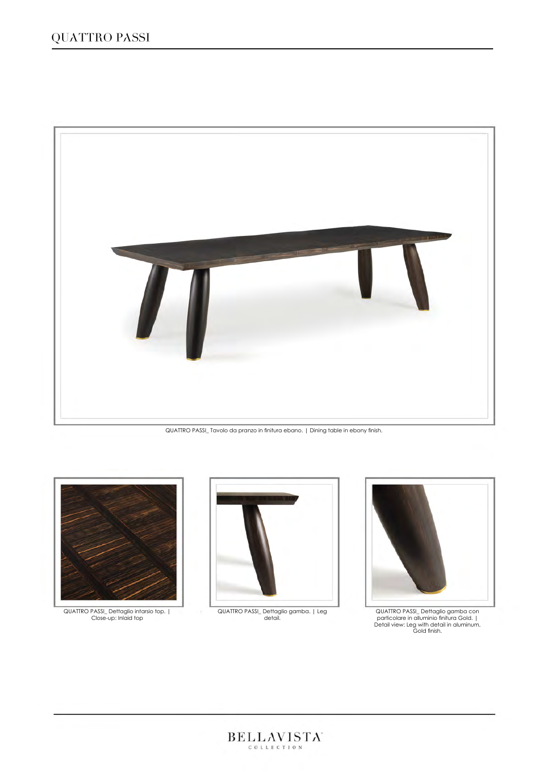

QUATTRO PASSI\_ Tavolo da pranzo in finitura ebano. | Dining table in ebony finish.



QUATTRO PASSI\_ Dettaglio intarsio top. | Close-up: Inlaid top



QUATTRO PASSI\_ Dettaglio gamba. | Leg detail.

 $\text{BELLAVISTA'}_{\text{coefficient}}$ 



QUATTRO PASSI\_ Dettaglio gamba con particolare in alluminio finitura Gold. | Detail view: Leg with detail in aluminum, Gold finish.